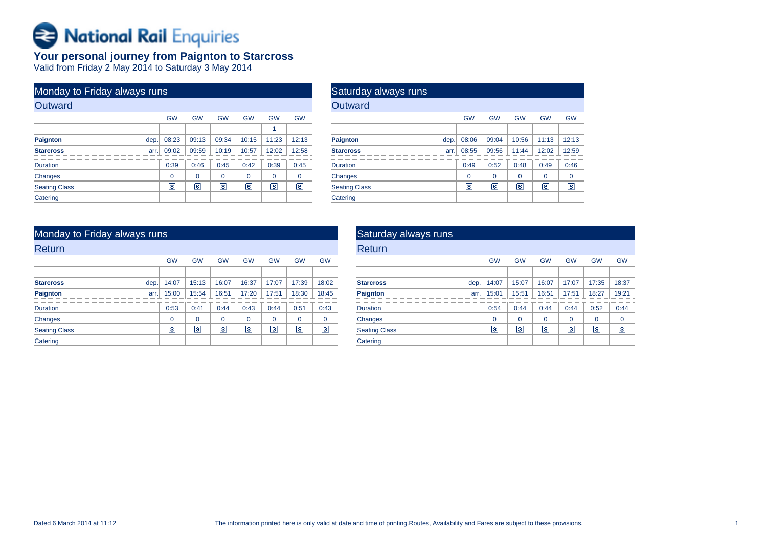# Rational Rail Enquiries

## **Your personal journey from Paignton to Starcross** Valid from Friday 2 May 2014 to Saturday 3 May 2014

| Monday to Friday always runs |                         |                         |                         |           |                         |                 |
|------------------------------|-------------------------|-------------------------|-------------------------|-----------|-------------------------|-----------------|
| Outward                      |                         |                         |                         |           |                         |                 |
|                              | <b>GW</b>               | <b>GW</b>               | <b>GW</b>               | <b>GW</b> | <b>GW</b>               | <b>GW</b>       |
|                              |                         |                         |                         |           | 1                       |                 |
| <b>Paignton</b><br>dep.      | 08:23                   | 09:13                   | 09:34                   | 10:15     | 11:23                   | 12:13           |
| <b>Starcross</b><br>arr.     | 09:02                   | 09:59                   | 10:19                   | 10:57     | 12:02                   | 12:58           |
| <b>Duration</b>              | 0:39                    | 0:46                    | 0:45                    | 0:42      | 0:39                    | 0:45            |
| <b>Changes</b>               | $\Omega$                | 0                       | $\Omega$                | $\Omega$  | 0                       | $\Omega$        |
| <b>Seating Class</b>         | $\overline{\mathbf{s}}$ | $\overline{\mathbf{s}}$ | $\overline{\mathbf{s}}$ | s         | $\overline{\mathbf{s}}$ | $\vert s \vert$ |
| Catering                     |                         |                         |                         |           |                         |                 |

| Saturday always runs |      |           |           |           |           |           |
|----------------------|------|-----------|-----------|-----------|-----------|-----------|
| Outward              |      |           |           |           |           |           |
|                      |      | <b>GW</b> | <b>GW</b> | <b>GW</b> | <b>GW</b> | <b>GW</b> |
|                      |      |           |           |           |           |           |
| <b>Paignton</b>      | dep. | 08:06     | 09:04     | 10:56     | 11:13     | 12:13     |
| <b>Starcross</b>     | arr. | 08:55     | 09:56     | 11:44     | 12:02     | 12:59     |
| <b>Duration</b>      |      | 0:49      | 0:52      | 0:48      | 0:49      | 0:46      |
| Changes              |      | $\Omega$  | 0         | 0         | $\Omega$  | 0         |
| <b>Seating Class</b> |      | ls.       | s         | ls.       | s         | s         |
| Catering             |      |           |           |           |           |           |

## Monday to Friday always runs

| Return               |      |             |             |                |           |             |             |             |
|----------------------|------|-------------|-------------|----------------|-----------|-------------|-------------|-------------|
|                      |      | <b>GW</b>   | <b>GW</b>   | <b>GW</b>      | <b>GW</b> | <b>GW</b>   | <b>GW</b>   | <b>GW</b>   |
|                      |      |             |             |                |           |             |             |             |
| <b>Starcross</b>     | dep. | 14:07       | 15:13       | 16:07          | 16:37     | 17:07       | 17:39       | 18:02       |
| Paignton             | arr. | 15:00       | 15:54       | 16:51          | 17:20     | 17:51       | 18:30       | 18:45       |
| <b>Duration</b>      |      | 0:53        | 0:41        | 0:44           | 0:43      | 0:44        | 0:51        | 0:43        |
| Changes              |      | $\mathbf 0$ | $\mathbf 0$ | $\Omega$       | $\Omega$  | $\mathbf 0$ | $\mathbf 0$ | $\mathbf 0$ |
| <b>Seating Class</b> |      | s           | ls.         | $ \mathsf{s} $ | ΓS        | Γs          | s           | Γs          |
| Catering             |      |             |             |                |           |             |             |             |

| Saturday always runs     |                         |                |           |           |                |           |
|--------------------------|-------------------------|----------------|-----------|-----------|----------------|-----------|
| Return                   |                         |                |           |           |                |           |
|                          | <b>GW</b>               | <b>GW</b>      | <b>GW</b> | <b>GW</b> | <b>GW</b>      | <b>GW</b> |
|                          |                         |                |           |           |                |           |
| <b>Starcross</b><br>dep. | 14:07                   | 15:07          | 16:07     | 17:07     | 17:35          | 18:37     |
| Paignton<br>arr.         | 15:01                   | 15:51          | 16:51     | 17:51     | 18:27          | 19:21     |
| <b>Duration</b>          | 0:54                    | 0:44           | 0:44      | 0:44      | 0:52           | 0:44      |
| Changes                  | $\Omega$                | $\Omega$       | $\Omega$  | $\Omega$  | $\Omega$       | 0         |
| <b>Seating Class</b>     | $\overline{\mathbf{s}}$ | $ \mathsf{s} $ | īs.       | s         | $ \mathsf{s} $ | Γs        |
| Catering                 |                         |                |           |           |                |           |